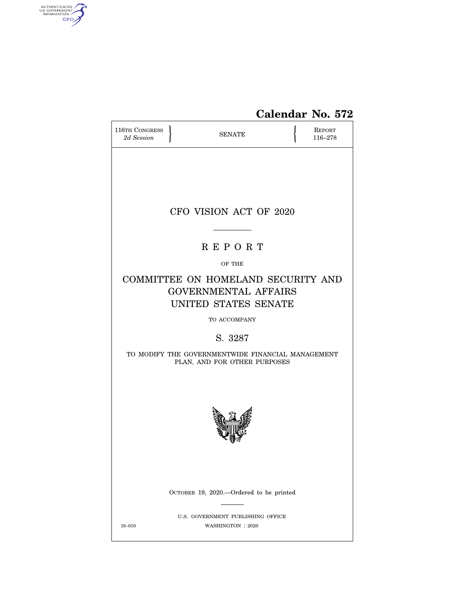

# **Calendar No. 572**

| 116TH CONGRESS<br>2d Session |  |                                                                                           | REPORT<br>116-278 |  |  |  |  |
|------------------------------|--|-------------------------------------------------------------------------------------------|-------------------|--|--|--|--|
|                              |  |                                                                                           |                   |  |  |  |  |
| CFO VISION ACT OF 2020       |  |                                                                                           |                   |  |  |  |  |
|                              |  | <b>REPORT</b>                                                                             |                   |  |  |  |  |
|                              |  | OF THE                                                                                    |                   |  |  |  |  |
|                              |  | COMMITTEE ON HOMELAND SECURITY AND<br><b>GOVERNMENTAL AFFAIRS</b><br>UNITED STATES SENATE |                   |  |  |  |  |
| TO ACCOMPANY                 |  |                                                                                           |                   |  |  |  |  |
|                              |  | S. 3287                                                                                   |                   |  |  |  |  |
|                              |  | TO MODIFY THE GOVERNMENTWIDE FINANCIAL MANAGEMENT<br>PLAN, AND FOR OTHER PURPOSES         |                   |  |  |  |  |
|                              |  |                                                                                           |                   |  |  |  |  |
|                              |  | OCTOBER 19, 2020.—Ordered to be printed                                                   |                   |  |  |  |  |
| 19-010                       |  | U.S. GOVERNMENT PUBLISHING OFFICE<br>WASHINGTON: 2020                                     |                   |  |  |  |  |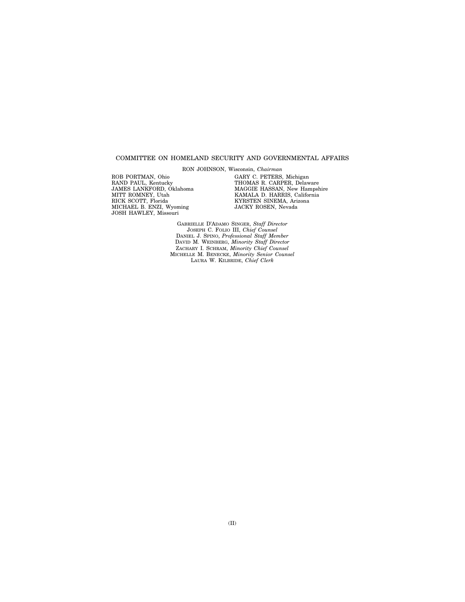#### COMMITTEE ON HOMELAND SECURITY AND GOVERNMENTAL AFFAIRS

RON JOHNSON, Wisconsin, *Chairman* 

ROB PORTMAN, Ohio RAND PAUL, Kentucky JAMES LANKFORD, Oklahoma MITT ROMNEY, Utah RICK SCOTT, Florida MICHAEL B. ENZI, Wyoming JOSH HAWLEY, Missouri

GARY C. PETERS, Michigan THOMAS R. CARPER, Delaware MAGGIE HASSAN, New Hampshire KAMALA D. HARRIS, California KYRSTEN SINEMA, Arizona JACKY ROSEN, Nevada

GABRIELLE D'ADAMO SINGER, *Staff Director*  JOSEPH C. FOLIO III, *Chief Counsel*  DANIEL J. SPINO, *Professional Staff Member*  DAVID M. WEINBERG, *Minority Staff Director*  ZACHARY I. SCHRAM, *Minority Chief Counsel*  MICHELLE M. BENECKE, *Minority Senior Counsel*  LAURA W. KILBRIDE, *Chief Clerk*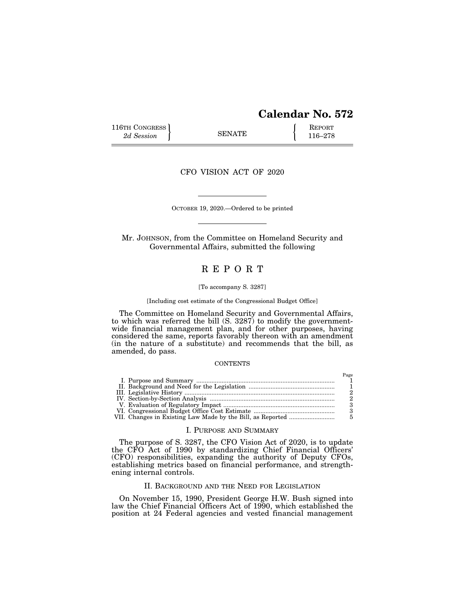# **Calendar No. 572**

116TH CONGRESS **REPORT** 2d Session **116–278** 

CFO VISION ACT OF 2020

OCTOBER 19, 2020.—Ordered to be printed

Mr. JOHNSON, from the Committee on Homeland Security and Governmental Affairs, submitted the following

## R E P O R T

#### [To accompany S. 3287]

#### [Including cost estimate of the Congressional Budget Office]

The Committee on Homeland Security and Governmental Affairs, to which was referred the bill (S. 3287) to modify the governmentwide financial management plan, and for other purposes, having considered the same, reports favorably thereon with an amendment (in the nature of a substitute) and recommends that the bill, as amended, do pass.

#### **CONTENTS**

#### I. PURPOSE AND SUMMARY

The purpose of S. 3287, the CFO Vision Act of 2020, is to update the CFO Act of 1990 by standardizing Chief Financial Officers' (CFO) responsibilities, expanding the authority of Deputy CFOs, establishing metrics based on financial performance, and strengthening internal controls.

#### II. BACKGROUND AND THE NEED FOR LEGISLATION

On November 15, 1990, President George H.W. Bush signed into law the Chief Financial Officers Act of 1990, which established the position at 24 Federal agencies and vested financial management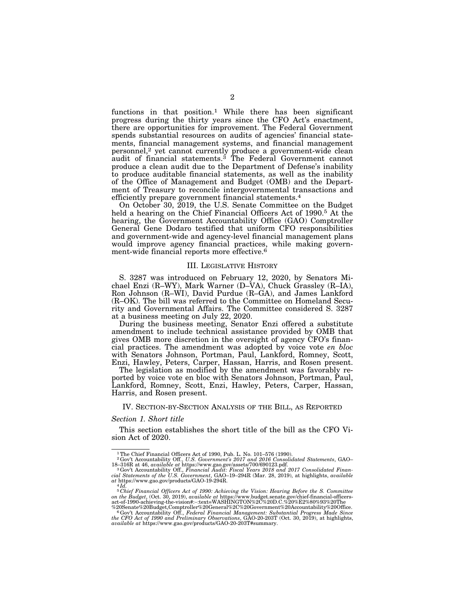functions in that position.<sup>1</sup> While there has been significant progress during the thirty years since the CFO Act's enactment, there are opportunities for improvement. The Federal Government spends substantial resources on audits of agencies' financial statements, financial management systems, and financial management personnel,<sup>2</sup> yet cannot currently produce a government-wide clean audit of financial statements.<sup>3</sup> The Federal Government cannot produce a clean audit due to the Department of Defense's inability to produce auditable financial statements, as well as the inability of the Office of Management and Budget (OMB) and the Department of Treasury to reconcile intergovernmental transactions and efficiently prepare government financial statements.4

On October 30, 2019, the U.S. Senate Committee on the Budget held a hearing on the Chief Financial Officers Act of 1990.<sup>5</sup> At the hearing, the Government Accountability Office (GAO) Comptroller General Gene Dodaro testified that uniform CFO responsibilities and government-wide and agency-level financial management plans would improve agency financial practices, while making government-wide financial reports more effective.<sup>6</sup>

#### III. LEGISLATIVE HISTORY

S. 3287 was introduced on February 12, 2020, by Senators Michael Enzi (R–WY), Mark Warner (D–VA), Chuck Grassley (R–IA), Ron Johnson (R–WI), David Purdue (R–GA), and James Lankford (R–OK). The bill was referred to the Committee on Homeland Security and Governmental Affairs. The Committee considered S. 3287 at a business meeting on July 22, 2020.

During the business meeting, Senator Enzi offered a substitute amendment to include technical assistance provided by OMB that gives OMB more discretion in the oversight of agency CFO's financial practices. The amendment was adopted by voice vote *en bloc*  with Senators Johnson, Portman, Paul, Lankford, Romney, Scott, Enzi, Hawley, Peters, Carper, Hassan, Harris, and Rosen present.

The legislation as modified by the amendment was favorably reported by voice vote en bloc with Senators Johnson, Portman, Paul, Lankford, Romney, Scott, Enzi, Hawley, Peters, Carper, Hassan, Harris, and Rosen present.

#### IV. SECTION-BY-SECTION ANALYSIS OF THE BILL, AS REPORTED

#### *Section 1. Short title*

This section establishes the short title of the bill as the CFO Vision Act of 2020.

<sup>1</sup>The Chief Financial Officers Act of 1990, Pub. L. No. 101–576 (1990). 2Gov't Accountability Off., *U.S. Government's 2017 and 2016 Consolidated Statements*, GAO– 18–316R at 46, *available at* https://www.gao.gov/assets/700/690123.pdf. 3Gov't Accountability Off., *Financial Audit: Fiscal Years 2018 and 2017 Consolidated Finan-*

*cial Statements of the U.S. Government*, GAO–19–294R (Mar. 28, 2019), at highlights, *available at* https://www.gao.gov/products/GAO-19-294R. at https://www.gao.gov/products/GAO-19-294R.<br><sup>4</sup>Id.

<sup>5</sup> *Chief Financial Officers Act of 1990: Achieving the Vision: Hearing Before the S. Committee on the Budget*, (Oct. 30, 2019), *available at* https://www.budget.senate.gov/chief-financial-officers-act-of-1990-achieving-the-vision#:∼:text=WASHINGTON%2C%20D.C.%20%E2%80%93%20The

<sup>%20</sup>Senate%20Budget,Comptroller%20General%2C%20Government%20Accountability%20Office.<br>"Gov't Accountability Off., *Federal Financial Management: Substantial Progress Made Since*<br>the CFO Act of 1990 and Preliminary Observatio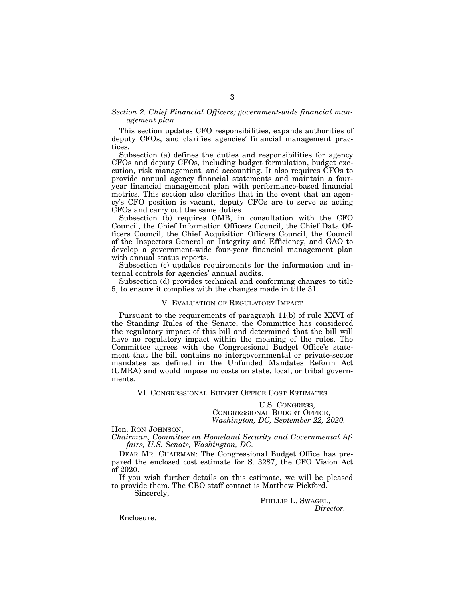#### *Section 2. Chief Financial Officers; government-wide financial management plan*

This section updates CFO responsibilities, expands authorities of deputy CFOs, and clarifies agencies' financial management practices.

Subsection (a) defines the duties and responsibilities for agency CFOs and deputy CFOs, including budget formulation, budget execution, risk management, and accounting. It also requires CFOs to provide annual agency financial statements and maintain a fouryear financial management plan with performance-based financial metrics. This section also clarifies that in the event that an agency's CFO position is vacant, deputy CFOs are to serve as acting CFOs and carry out the same duties.

Subsection (b) requires OMB, in consultation with the CFO Council, the Chief Information Officers Council, the Chief Data Officers Council, the Chief Acquisition Officers Council, the Council of the Inspectors General on Integrity and Efficiency, and GAO to develop a government-wide four-year financial management plan with annual status reports.

Subsection (c) updates requirements for the information and internal controls for agencies' annual audits.

Subsection (d) provides technical and conforming changes to title 5, to ensure it complies with the changes made in title 31.

#### V. EVALUATION OF REGULATORY IMPACT

Pursuant to the requirements of paragraph 11(b) of rule XXVI of the Standing Rules of the Senate, the Committee has considered the regulatory impact of this bill and determined that the bill will have no regulatory impact within the meaning of the rules. The Committee agrees with the Congressional Budget Office's statement that the bill contains no intergovernmental or private-sector mandates as defined in the Unfunded Mandates Reform Act (UMRA) and would impose no costs on state, local, or tribal governments.

VI. CONGRESSIONAL BUDGET OFFICE COST ESTIMATES

U.S. CONGRESS, CONGRESSIONAL BUDGET OFFICE, *Washington, DC, September 22, 2020.* 

Hon. RON JOHNSON,

*Chairman, Committee on Homeland Security and Governmental Affairs, U.S. Senate, Washington, DC.* 

DEAR MR. CHAIRMAN: The Congressional Budget Office has prepared the enclosed cost estimate for S. 3287, the CFO Vision Act of 2020.

If you wish further details on this estimate, we will be pleased to provide them. The CBO staff contact is Matthew Pickford.

Sincerely,

PHILLIP L. SWAGEL, *Director.* 

Enclosure.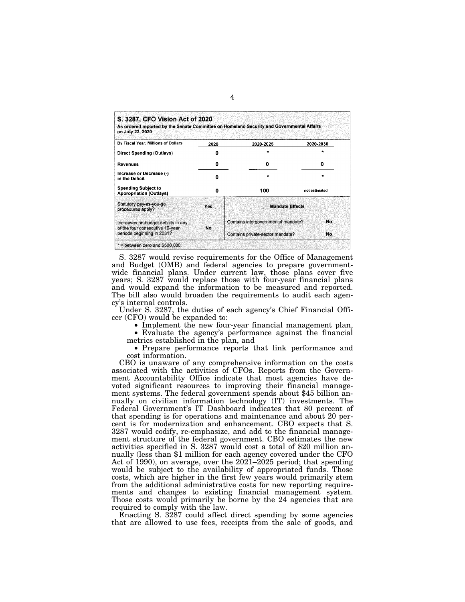| As ordered reported by the Senate Committee on Homeland Security and Governmental Affairs<br>on July 22, 2020 |            |                                     |                    |  |  |
|---------------------------------------------------------------------------------------------------------------|------------|-------------------------------------|--------------------|--|--|
| By Fiscal Year, Millions of Dollars                                                                           | 2020       | 2020-2025                           | 2020-2030          |  |  |
| Direct Spending (Outlays)                                                                                     | 0          | ٠                                   |                    |  |  |
| Revenues                                                                                                      | 0          | 0                                   | 0<br>not estimated |  |  |
| Increase or Decrease (-)<br>in the Deficit                                                                    | O          | ٠                                   |                    |  |  |
| <b>Spending Subject to</b><br><b>Appropriation (Outlays)</b>                                                  | 0          | 100                                 |                    |  |  |
| Statutory pay-as-you-go<br>procedures apply?                                                                  | <b>Yes</b> | <b>Mandate Effects</b>              |                    |  |  |
| Increases on-budget deficits in any<br>of the four consecutive 10-year                                        |            | Contains intergovernmental mandate? |                    |  |  |
| periods beginning in 2031?                                                                                    | <b>No</b>  | Contains private-sector mandate?    |                    |  |  |

S. 3287 would revise requirements for the Office of Management and Budget (OMB) and federal agencies to prepare governmentwide financial plans. Under current law, those plans cover five years; S. 3287 would replace those with four-year financial plans and would expand the information to be measured and reported. The bill also would broaden the requirements to audit each agency's internal controls.

Under S. 3287, the duties of each agency's Chief Financial Officer (CFO) would be expanded to:<br>• Implement the new four-year financial management plan,

• Implement the new four-year financial management plan, • Evaluate the agency's performance against the financial metrics established in the plan, and

• Prepare performance reports that link performance and cost information.

CBO is unaware of any comprehensive information on the costs associated with the activities of CFOs. Reports from the Government Accountability Office indicate that most agencies have devoted significant resources to improving their financial management systems. The federal government spends about \$45 billion annually on civilian information technology (IT) investments. The Federal Government's IT Dashboard indicates that 80 percent of that spending is for operations and maintenance and about 20 percent is for modernization and enhancement. CBO expects that S. 3287 would codify, re-emphasize, and add to the financial management structure of the federal government. CBO estimates the new activities specified in S. 3287 would cost a total of \$20 million annually (less than \$1 million for each agency covered under the CFO Act of 1990), on average, over the 2021–2025 period; that spending would be subject to the availability of appropriated funds. Those costs, which are higher in the first few years would primarily stem from the additional administrative costs for new reporting requirements and changes to existing financial management system. Those costs would primarily be borne by the 24 agencies that are required to comply with the law.

Enacting S. 3287 could affect direct spending by some agencies that are allowed to use fees, receipts from the sale of goods, and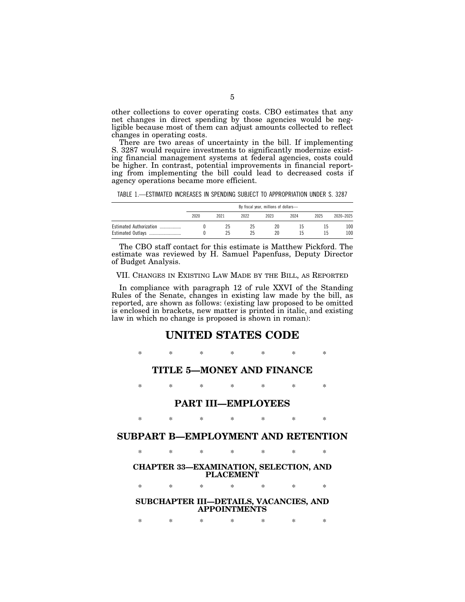other collections to cover operating costs. CBO estimates that any net changes in direct spending by those agencies would be negligible because most of them can adjust amounts collected to reflect changes in operating costs.

There are two areas of uncertainty in the bill. If implementing S. 3287 would require investments to significantly modernize existing financial management systems at federal agencies, costs could be higher. In contrast, potential improvements in financial reporting from implementing the bill could lead to decreased costs if agency operations became more efficient.

TABLE 1.—ESTIMATED INCREASES IN SPENDING SUBJECT TO APPROPRIATION UNDER S. 3287

|                                              | By fiscal year, millions of dollars- |          |          |          |      |      |            |
|----------------------------------------------|--------------------------------------|----------|----------|----------|------|------|------------|
|                                              | 2020                                 | 2021     | 2022     | 2023     | 2024 | 2025 | 2020-2025  |
| Estimated Authorization<br>Estimated Outlays |                                      | 25<br>25 | 25<br>25 | 20<br>20 |      |      | 100<br>100 |

The CBO staff contact for this estimate is Matthew Pickford. The estimate was reviewed by H. Samuel Papenfuss, Deputy Director of Budget Analysis.

VII. CHANGES IN EXISTING LAW MADE BY THE BILL, AS REPORTED

In compliance with paragraph 12 of rule XXVI of the Standing Rules of the Senate, changes in existing law made by the bill, as reported, are shown as follows: (existing law proposed to be omitted is enclosed in brackets, new matter is printed in italic, and existing law in which no change is proposed is shown in roman):

## **UNITED STATES CODE**

\* \* \* \* \* \* \*

## **TITLE 5—MONEY AND FINANCE**

\* \* \* \* \* \* \*

### **PART III—EMPLOYEES**

\* \* \* \* \* \* \*

## **SUBPART B—EMPLOYMENT AND RETENTION**

\* \* \* \* \* \* \*

#### **CHAPTER 33—EXAMINATION, SELECTION, AND PLACEMENT**

\* \* \* \* \* \* \*

### **SUBCHAPTER III—DETAILS, VACANCIES, AND APPOINTMENTS**

\* \* \* \* \* \* \*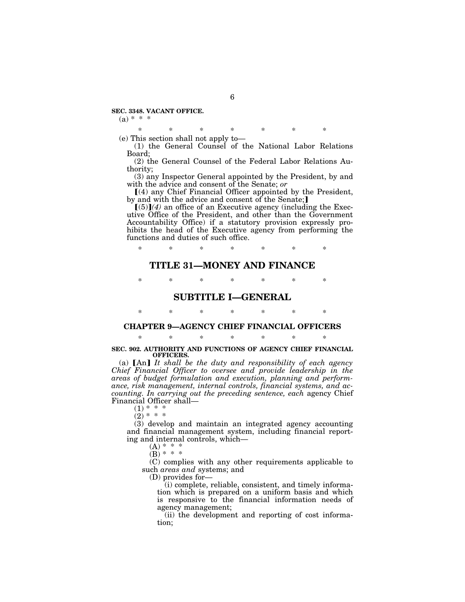#### **SEC. 3348. VACANT OFFICE.**

#### $(a) * * * *$

\* \* \* \* \* \* \* (e) This section shall not apply to—

(1) the General Counsel of the National Labor Relations Board;

(2) the General Counsel of the Federal Labor Relations Authority;

(3) any Inspector General appointed by the President, by and with the advice and consent of the Senate; *or* 

 $(4)$  any Chief Financial Officer appointed by the President, by and with the advice and consent of the Senate;

 $(5)$  $(4)$  an office of an Executive agency (including the Executive Office of the President, and other than the Government Accountability Office) if a statutory provision expressly prohibits the head of the Executive agency from performing the functions and duties of such office.

\* \* \* \* \* \* \*

## **TITLE 31—MONEY AND FINANCE**

\* \* \* \* \* \* \*

## **SUBTITLE I—GENERAL**

# \* \* \* \* \* \* \*

## **CHAPTER 9—AGENCY CHIEF FINANCIAL OFFICERS**  \* \* \* \* \* \* \*

#### **SEC. 902. AUTHORITY AND FUNCTIONS OF AGENCY CHIEF FINANCIAL OFFICERS.**

(a)  $[An]$  *It shall be the duty and responsibility of each agency Chief Financial Officer to oversee and provide leadership in the areas of budget formulation and execution, planning and performance, risk management, internal controls, financial systems, and accounting. In carrying out the preceding sentence, each* agency Chief Financial Officer shall—

 $(1) * *$  $(2) * * *$ 

(3) develop and maintain an integrated agency accounting and financial management system, including financial reporting and internal controls, which—

(A) \* \* \*  $(B) * * * *$ 

(C) complies with any other requirements applicable to such *areas and* systems; and

(D) provides for—

(i) complete, reliable, consistent, and timely information which is prepared on a uniform basis and which is responsive to the financial information needs of agency management;

(ii) the development and reporting of cost information;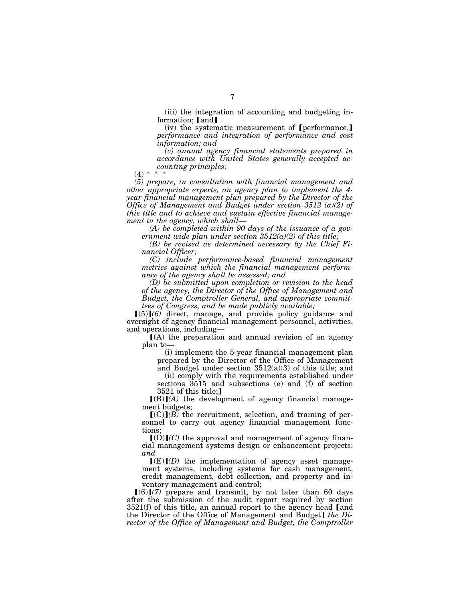(iii) the integration of accounting and budgeting information;  $[and]$ 

 $(iv)$  the systematic measurement of [performance,] *performance and integration of performance and cost information; and* 

*(v) annual agency financial statements prepared in accordance with United States generally accepted accounting principles;* 

 $(4) *$ 

*(5) prepare, in consultation with financial management and other appropriate experts, an agency plan to implement the 4 year financial management plan prepared by the Director of the Office of Management and Budget under section 3512 (a)(2) of this title and to achieve and sustain effective financial management in the agency, which shall—* 

*(A) be completed within 90 days of the issuance of a government wide plan under section 3512(a)(2) of this title;* 

*(B) be revised as determined necessary by the Chief Financial Officer;* 

*(C) include performance-based financial management metrics against which the financial management performance of the agency shall be assessed; and* 

*(D) be submitted upon completion or revision to the head of the agency, the Director of the Office of Management and Budget, the Comptroller General, and appropriate committees of Congress, and be made publicly available;* 

 $[(5)](6)$  direct, manage, and provide policy guidance and oversight of agency financial management personnel, activities, and operations, including—

 $(A)$  the preparation and annual revision of an agency plan to—

(i) implement the 5-year financial management plan prepared by the Director of the Office of Management

and Budget under section 3512(a)(3) of this title; and

(ii) comply with the requirements established under sections 3515 and subsections (e) and (f) of section  $3521$  of this title;

 $[(B)](A)$  the development of agency financial management budgets;

 $(C)(B)$  the recruitment, selection, and training of personnel to carry out agency financial management functions;

 $[(D)](C)$  the approval and management of agency financial management systems design or enhancement projects; *and* 

 $\Gamma(E)$ *(D)* the implementation of agency asset management systems, including systems for cash management, credit management, debt collection, and property and inventory management and control;

 $[(6)](7)$  prepare and transmit, by not later than 60 days after the submission of the audit report required by section  $3521(f)$  of this title, an annual report to the agency head  $\lceil$  and the Director of the Office of Management and Budget] *the Director of the Office of Management and Budget, the Comptroller*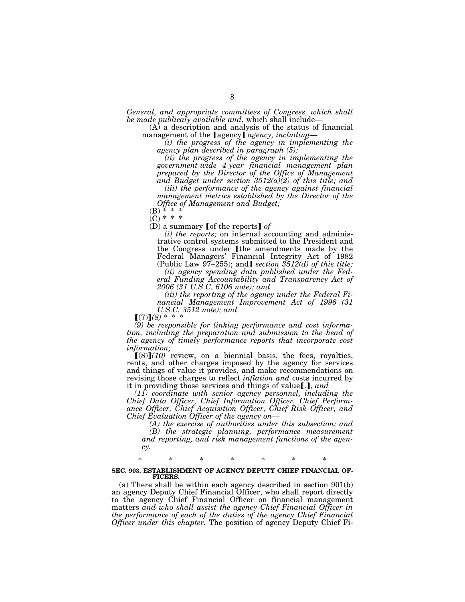*General, and appropriate committees of Congress, which shall be made publicaly available and*, which shall include—

(A) a description and analysis of the status of financial management of the [agency] *agency, including*—

*(i) the progress of the agency in implementing the agency plan described in paragraph (5);* 

*(ii) the progress of the agency in implementing the government-wide 4-year financial management plan prepared by the Director of the Office of Management and Budget under section 3512(a)(2) of this title; and* 

*(iii) the performance of the agency against financial management metrics established by the Director of the Office of Management and Budget;* 

 $(B) * * * *$ 

 $(C) * * *$ 

(D) a summary **[of the reports]** *of*—

*(i) the reports;* on internal accounting and administrative control systems submitted to the President and the Congress under [the amendments made by the Federal Managers' Financial Integrity Act of 1982<br>(Public Law 97–255); and *section 3512(d) of this title;* 

*(ii) agency spending data published under the Federal Funding Accountability and Transparency Act of 2006 (31 U.S.C. 6106 note); and* 

*(iii) the reporting of the agency under the Federal Financial Management Improvement Act of 1996 (31 U.S.C. 3512 note); and* 

 $(7)$  $(8)$  \*

*(9) be responsible for linking performance and cost information, including the preparation and submission to the head of the agency of timely performance reports that incorporate cost information;* 

 $[(8)](10)$  review, on a biennial basis, the fees, royalties, rents, and other charges imposed by the agency for services and things of value it provides, and make recommendations on revising those charges to reflect *inflation and* costs incurred by it in providing those services and things of value.  $\epsilon$ *; and* 

*(11) coordinate with senior agency personnel, including the Chief Data Officer, Chief Information Officer, Chief Performance Officer, Chief Acquisition Officer, Chief Risk Officer, and Chief Evaluation Officer of the agency on—* 

*(A) the exercise of authorities under this subsection; and (B) the strategic planning, performance measurement and reporting, and risk management functions of the agency.* 

\* \* \* \* \* \* \*

#### **SEC. 903. ESTABLISHMENT OF AGENCY DEPUTY CHIEF FINANCIAL OF-FICERS.**

(a) There shall be within each agency described in section 901(b) an agency Deputy Chief Financial Officer, who shall report directly to the agency Chief Financial Officer on financial management matters *and who shall assist the agency Chief Financial Officer in the performance of each of the duties of the agency Chief Financial Officer under this chapter.* The position of agency Deputy Chief Fi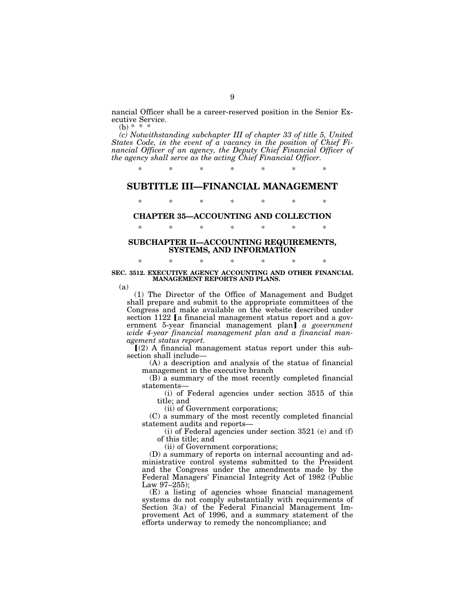nancial Officer shall be a career-reserved position in the Senior Executive Service.

(b)  $* * * *$ 

*(c) Notwithstanding subchapter III of chapter 33 of title 5, United States Code, in the event of a vacancy in the position of Chief Financial Officer of an agency, the Deputy Chief Financial Officer of the agency shall serve as the acting Chief Financial Officer.* 

\* \* \* \* \* \* \*

## **SUBTITLE III—FINANCIAL MANAGEMENT**

\* \* \* \* \* \* \*

# **CHAPTER 35—ACCOUNTING AND COLLECTION**  \* \* \* \* \* \* \*

#### **SUBCHAPTER II—ACCOUNTING REQUIREMENTS, SYSTEMS, AND INFORMATION**

#### \* \* \* \* \* \* \* **SEC. 3512. EXECUTIVE AGENCY ACCOUNTING AND OTHER FINANCIAL MANAGEMENT REPORTS AND PLANS.**

(a)

(1) The Director of the Office of Management and Budget shall prepare and submit to the appropriate committees of the Congress and make available on the website described under section 1122 [a financial management status report and a government 5-year financial management plan] *a government wide 4-year financial management plan and a financial management status report.* 

 $(2)$  A financial management status report under this subsection shall include—

(A) a description and analysis of the status of financial management in the executive branch

(B) a summary of the most recently completed financial statements—

(i) of Federal agencies under section 3515 of this title; and

(ii) of Government corporations;

(C) a summary of the most recently completed financial statement audits and reports—

(i) of Federal agencies under section 3521 (e) and (f) of this title; and

(ii) of Government corporations;

(D) a summary of reports on internal accounting and administrative control systems submitted to the President and the Congress under the amendments made by the Federal Managers' Financial Integrity Act of 1982 (Public Law 97–255);

(E) a listing of agencies whose financial management systems do not comply substantially with requirements of Section 3(a) of the Federal Financial Management Improvement Act of 1996, and a summary statement of the efforts underway to remedy the noncompliance; and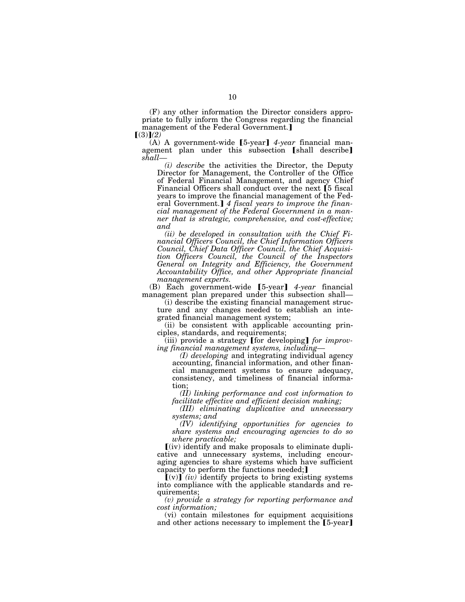(F) any other information the Director considers appropriate to fully inform the Congress regarding the financial management of the Federal Government.

 $(3)$ <sup> $(2)$ </sup>

(A) A government-wide [5-year] 4-year financial management plan under this subsection [shall describe] *shall—* 

*(i) describe* the activities the Director, the Deputy Director for Management, the Controller of the Office of Federal Financial Management, and agency Chief Financial Officers shall conduct over the next [5 fiscal] years to improve the financial management of the Federal Government.] 4 fiscal years to improve the finan*cial management of the Federal Government in a manner that is strategic, comprehensive, and cost-effective; and* 

*(ii) be developed in consultation with the Chief Financial Officers Council, the Chief Information Officers Council, Chief Data Officer Council, the Chief Acquisition Officers Council, the Council of the Inspectors General on Integrity and Efficiency, the Government Accountability Office, and other Appropriate financial management experts.* 

(B) Each government-wide [5-year] 4-year financial management plan prepared under this subsection shall—

(i) describe the existing financial management structure and any changes needed to establish an integrated financial management system;

(ii) be consistent with applicable accounting principles, standards, and requirements;

(iii) provide a strategy [for developing] *for improving financial management systems, including—* 

*(I) developing* and integrating individual agency accounting, financial information, and other financial management systems to ensure adequacy, consistency, and timeliness of financial information;

*(II) linking performance and cost information to facilitate effective and efficient decision making;* 

*(III) eliminating duplicative and unnecessary systems; and* 

*(IV) identifying opportunities for agencies to share systems and encouraging agencies to do so where practicable;* 

 $(iv)$  identify and make proposals to eliminate duplicative and unnecessary systems, including encouraging agencies to share systems which have sufficient capacity to perform the functions needed;]

 $(v)$  (*iv*) identify projects to bring existing systems into compliance with the applicable standards and requirements;

*(v) provide a strategy for reporting performance and cost information;* 

(vi) contain milestones for equipment acquisitions and other actions necessary to implement the  $[5$ -year]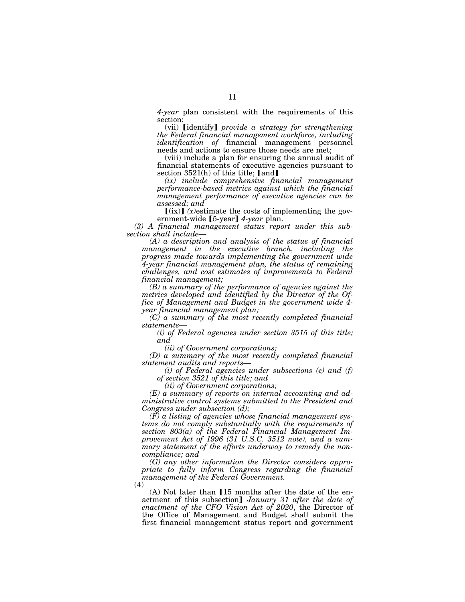*4-year* plan consistent with the requirements of this section;

(vii) **[identify]** *provide a strategy for strengthening the Federal financial management workforce, including identification of* financial management personnel needs and actions to ensure those needs are met;

(viii) include a plan for ensuring the annual audit of financial statements of executive agencies pursuant to section  $3521(h)$  of this title; [and]

*(ix) include comprehensive financial management performance-based metrics against which the financial management performance of executive agencies can be assessed; and* 

 $[(ix)]$  *(x)*estimate the costs of implementing the government-wide [5-year] 4-year plan.

*(3) A financial management status report under this subsection shall include—* 

*(A) a description and analysis of the status of financial management in the executive branch, including the progress made towards implementing the government wide 4-year financial management plan, the status of remaining challenges, and cost estimates of improvements to Federal financial management;* 

*(B) a summary of the performance of agencies against the metrics developed and identified by the Director of the Office of Management and Budget in the government wide 4 year financial management plan;* 

 $(C)$  a summary of the most recently completed financial statements—

*statements*— *(i) of Federal agencies under section 3515 of this title; and* 

*(ii) of Government corporations;* 

*(D) a summary of the most recently completed financial statement audits and reports—* 

*(i) of Federal agencies under subsections (e) and (f) of section 3521 of this title; and* 

*(ii) of Government corporations;* 

*(E) a summary of reports on internal accounting and administrative control systems submitted to the President and Congress under subsection (d);* 

*(F) a listing of agencies whose financial management systems do not comply substantially with the requirements of section 803(a) of the Federal Financial Management Improvement Act of 1996 (31 U.S.C. 3512 note), and a summary statement of the efforts underway to remedy the noncompliance; and* 

*(G) any other information the Director considers appropriate to fully inform Congress regarding the financial management of the Federal Government.* 

(4)

 $(A)$  Not later than  $[15$  months after the date of the enactment of this subsection] *January 31 after the date of enactment of the CFO Vision Act of 2020*, the Director of the Office of Management and Budget shall submit the first financial management status report and government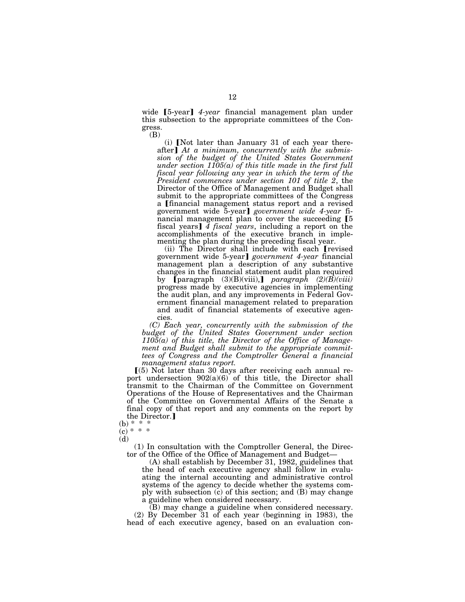wide [5-year] 4-year financial management plan under this subsection to the appropriate committees of the Congress. (B)

 $(i)$  [Not later than January 31 of each year thereafter] At a minimum, concurrently with the submis*sion of the budget of the United States Government under section 1105(a) of this title made in the first full fiscal year following any year in which the term of the President commences under section 101 of title 2*, the Director of the Office of Management and Budget shall submit to the appropriate committees of the Congress a [financial management status report and a revised government wide 5-year¿ *government wide 4-year* financial management plan to cover the succeeding  $[5]$ fiscal years] 4 *fiscal years*, including a report on the accomplishments of the executive branch in implementing the plan during the preceding fiscal year.

(ii) The Director shall include with each [revised government wide 5-year¿ *government 4-year* financial management plan a description of any substantive changes in the financial statement audit plan required by **[**paragraph (3)(B)(viii),**]** *paragraph* (2)(*B*)(*viii*) progress made by executive agencies in implementing the audit plan, and any improvements in Federal Government financial management related to preparation and audit of financial statements of executive agencies.

*(C) Each year, concurrently with the submission of the budget of the United States Government under section 1105(a) of this title, the Director of the Office of Management and Budget shall submit to the appropriate committees of Congress and the Comptroller General a financial management status report.* 

 $(5)$  Not later than 30 days after receiving each annual report undersection 902(a)(6) of this title, the Director shall transmit to the Chairman of the Committee on Government Operations of the House of Representatives and the Chairman of the Committee on Governmental Affairs of the Senate a final copy of that report and any comments on the report by the Director.

(d)

(1) In consultation with the Comptroller General, the Director of the Office of the Office of Management and Budget—

(A) shall establish by December 31, 1982, guidelines that the head of each executive agency shall follow in evaluating the internal accounting and administrative control systems of the agency to decide whether the systems comply with subsection (c) of this section; and (B) may change a guideline when considered necessary.

(B) may change a guideline when considered necessary. (2) By December 31 of each year (beginning in 1983), the head of each executive agency, based on an evaluation con-

 $(b) * * *$  $(c) * * *$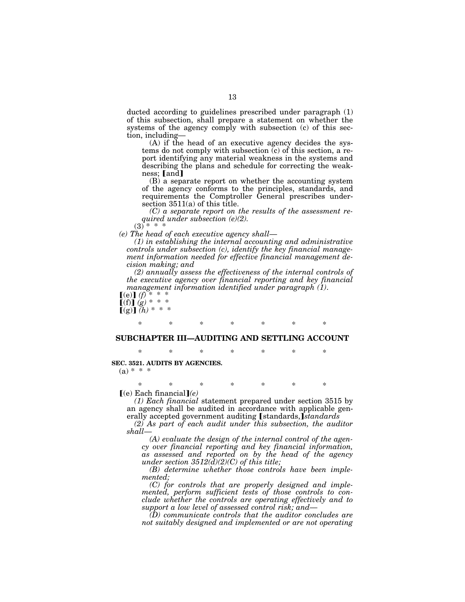ducted according to guidelines prescribed under paragraph (1) of this subsection, shall prepare a statement on whether the systems of the agency comply with subsection (c) of this section, including—

(A) if the head of an executive agency decides the systems do not comply with subsection (c) of this section, a report identifying any material weakness in the systems and describing the plans and schedule for correcting the weakness; [and]

(B) a separate report on whether the accounting system of the agency conforms to the principles, standards, and requirements the Comptroller General prescribes undersection 3511(a) of this title.

*(C) a separate report on the results of the assessment required under subsection (e)(2).* 

 $(3)^{*}$ 

*(e) The head of each executive agency shall*—

*(1) in establishing the internal accounting and administrative controls under subsection (c), identify the key financial management information needed for effective financial management decision making; and* 

*(2) annually assess the effectiveness of the internal controls of the executive agency over financial reporting and key financial management information identified under paragraph (1)*.

 $[(e)]$   $(f)$  $f(f)$  $g)$  \* \* \*  $\llbracket (g) \rrbracket (\hbar) * * * *$ 

# \* \* \* \* \* \* \*

### **SUBCHAPTER III—AUDITING AND SETTLING ACCOUNT**

\* \* \* \* \* \* \* **SEC. 3521. AUDITS BY AGENCIES.** 

 $(a) * * * *$ 

\* \* \* \* \* \* \*  $(e)$  Each financial  $(e)$ 

*(1) Each financial* statement prepared under section 3515 by an agency shall be audited in accordance with applicable generally accepted government auditing [standards,]*standards* 

*(2) As part of each audit under this subsection, the auditor shall*—

*(A) evaluate the design of the internal control of the agency over financial reporting and key financial information, as assessed and reported on by the head of the agency under section 3512(d)(2)(C) of this title;* 

*(B) determine whether those controls have been implemented;* 

*(C) for controls that are properly designed and implemented, perform sufficient tests of those controls to conclude whether the controls are operating effectively and to support a low level of assessed control risk; and*—

*(D) communicate controls that the auditor concludes are not suitably designed and implemented or are not operating*